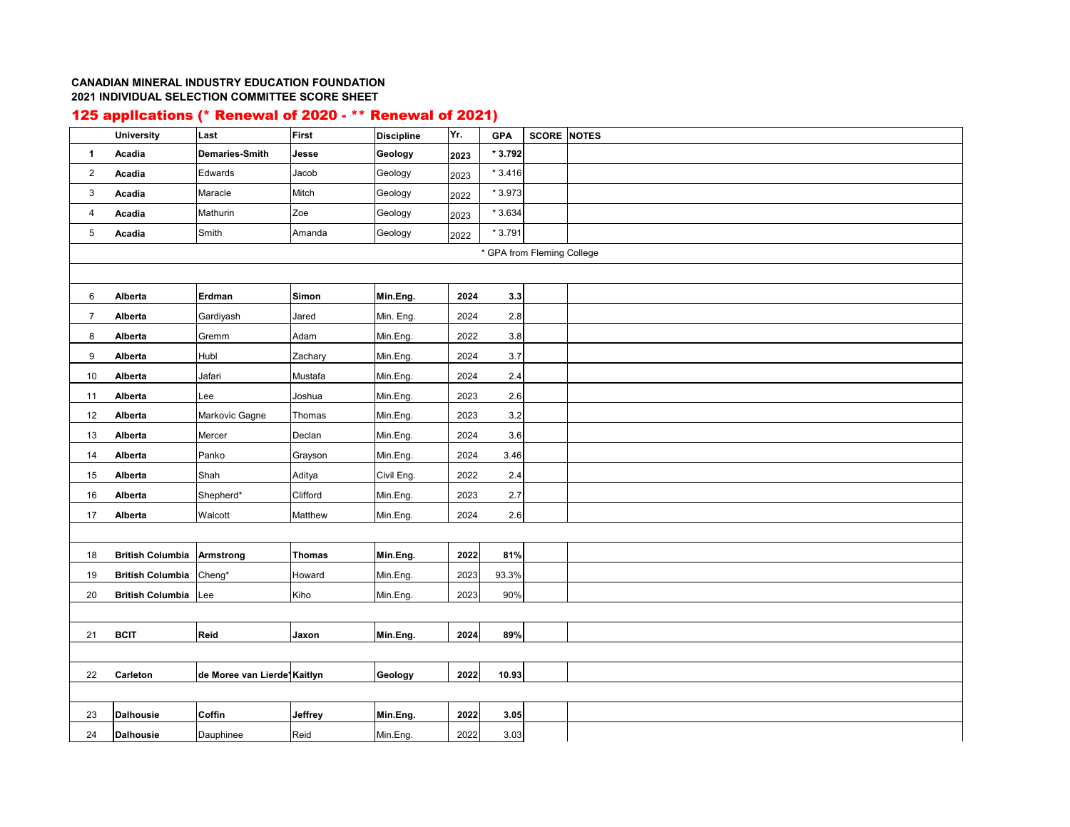## **CANADIAN MINERAL INDUSTRY EDUCATION FOUNDATION2021 INDIVIDUAL SELECTION COMMITTEE SCORE SHEET**

## 125 appllcations (\* Renewal of 2020 - \*\* Renewal of 2021)

|                | <b>University</b>          | Last                        | First         | <b>Discipline</b> | Yr.  | <b>GPA</b> | <b>SCORE NOTES</b> |  |  |  |  |  |
|----------------|----------------------------|-----------------------------|---------------|-------------------|------|------------|--------------------|--|--|--|--|--|
| $\mathbf{1}$   | Acadia                     | Demaries-Smith              | Jesse         | Geology           | 2023 | * 3.792    |                    |  |  |  |  |  |
| 2              | Acadia                     | Edwards                     | Jacob         | Geology           | 2023 | $*3.416$   |                    |  |  |  |  |  |
| 3              | Acadia                     | Maracle                     | Mitch         | Geology           | 2022 | * 3.973    |                    |  |  |  |  |  |
| $\overline{4}$ | Acadia                     | Mathurin                    | Zoe           | Geology           | 2023 | $*3.634$   |                    |  |  |  |  |  |
| 5              | Acadia                     | Smith                       | Amanda        | Geology           | 2022 | $*3.791$   |                    |  |  |  |  |  |
|                | * GPA from Fleming College |                             |               |                   |      |            |                    |  |  |  |  |  |
|                |                            |                             |               |                   |      |            |                    |  |  |  |  |  |
| 6              | Alberta                    | Erdman                      | Simon         | Min.Eng.          | 2024 | 3.3        |                    |  |  |  |  |  |
| $\overline{7}$ | Alberta                    | Gardiyash                   | Jared         | Min. Eng.         | 2024 | 2.8        |                    |  |  |  |  |  |
| 8              | Alberta                    | Gremm                       | Adam          | Min.Eng.          | 2022 | 3.8        |                    |  |  |  |  |  |
| 9              | Alberta                    | Hubl                        | Zachary       | Min.Eng.          | 2024 | 3.7        |                    |  |  |  |  |  |
| 10             | Alberta                    | Jafari                      | Mustafa       | Min.Eng.          | 2024 | 2.4        |                    |  |  |  |  |  |
| 11             | Alberta                    | Lee                         | Joshua        | Min.Eng.          | 2023 | 2.6        |                    |  |  |  |  |  |
| 12             | Alberta                    | Markovic Gagne              | Thomas        | Min.Eng.          | 2023 | 3.2        |                    |  |  |  |  |  |
| 13             | Alberta                    | Mercer                      | Declan        | Min.Eng.          | 2024 | 3.6        |                    |  |  |  |  |  |
| 14             | Alberta                    | Panko                       | Grayson       | Min.Eng.          | 2024 | 3.46       |                    |  |  |  |  |  |
| $15\,$         | Alberta                    | Shah                        | Aditya        | Civil Eng.        | 2022 | 2.4        |                    |  |  |  |  |  |
| 16             | Alberta                    | Shepherd*                   | Clifford      | Min.Eng.          | 2023 | 2.7        |                    |  |  |  |  |  |
| 17             | Alberta                    | Walcott                     | Matthew       | Min.Eng.          | 2024 | 2.6        |                    |  |  |  |  |  |
|                |                            |                             |               |                   |      |            |                    |  |  |  |  |  |
| 18             | <b>British Columbia</b>    | <b>Armstrong</b>            | <b>Thomas</b> | Min.Eng.          | 2022 | 81%        |                    |  |  |  |  |  |
| 19             | <b>British Columbia</b>    | Cheng*                      | Howard        | Min.Eng.          | 2023 | 93.3%      |                    |  |  |  |  |  |
| 20             | <b>British Columbia</b>    | Lee                         | Kiho          | Min.Eng.          | 2023 | 90%        |                    |  |  |  |  |  |
|                |                            |                             |               |                   |      |            |                    |  |  |  |  |  |
| 21             | <b>BCIT</b>                | Reid                        | Jaxon         | Min.Eng.          | 2024 | 89%        |                    |  |  |  |  |  |
|                |                            |                             |               |                   |      |            |                    |  |  |  |  |  |
| 22             | Carleton                   | de Moree van Lierde*Kaitlyn |               | Geology           | 2022 | 10.93      |                    |  |  |  |  |  |
|                |                            |                             |               |                   |      |            |                    |  |  |  |  |  |
| 23             | <b>Dalhousie</b>           | Coffin                      | Jeffrey       | Min.Eng.          | 2022 | 3.05       |                    |  |  |  |  |  |
| 24             | <b>Dalhousie</b>           | Dauphinee                   | Reid          | Min.Eng.          | 2022 | 3.03       |                    |  |  |  |  |  |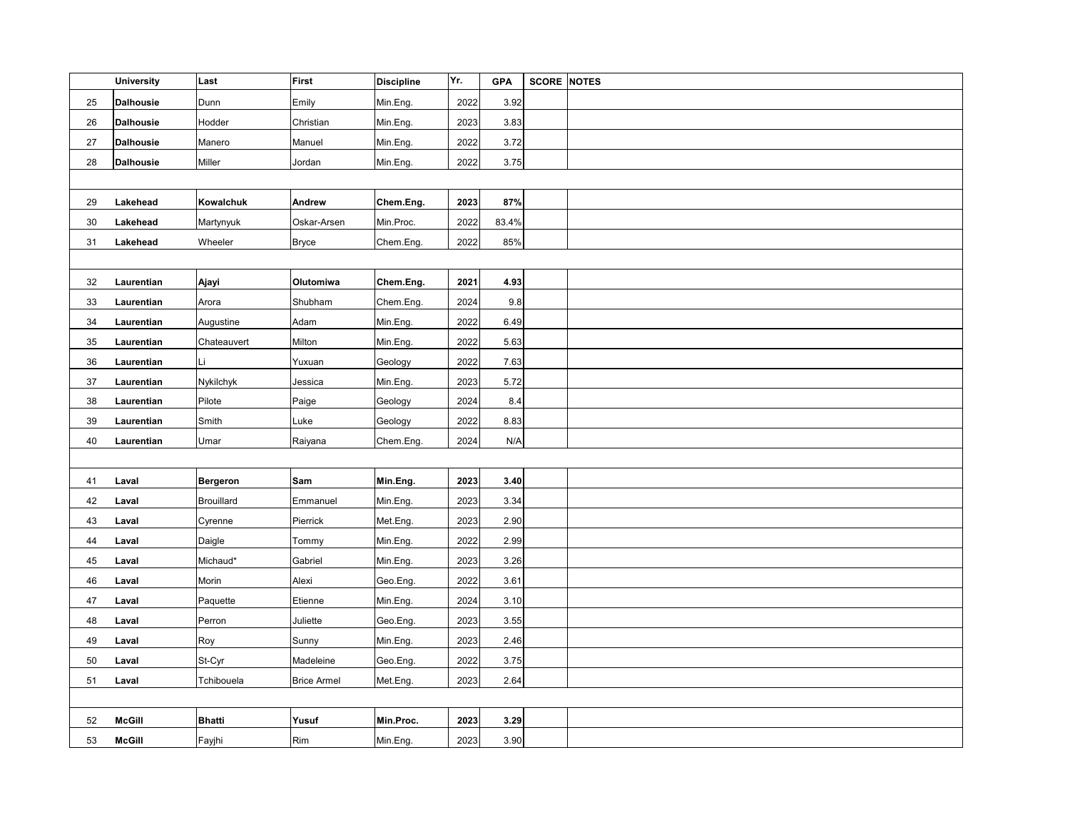|    | <b>University</b> | Last            | <b>First</b>       | <b>Discipline</b> | Yr.  | <b>GPA</b> | <b>SCORE</b> | <b>NOTES</b> |
|----|-------------------|-----------------|--------------------|-------------------|------|------------|--------------|--------------|
| 25 | <b>Dalhousie</b>  | Dunn            | Emily              | Min.Eng.          | 2022 | 3.92       |              |              |
| 26 | <b>Dalhousie</b>  | Hodder          | Christian          | Min.Eng.          | 2023 | 3.83       |              |              |
| 27 | <b>Dalhousie</b>  | Manero          | Manuel             | Min.Eng.          | 2022 | 3.72       |              |              |
| 28 | <b>Dalhousie</b>  | Miller          | Jordan             | Min.Eng.          | 2022 | 3.75       |              |              |
|    |                   |                 |                    |                   |      |            |              |              |
| 29 | Lakehead          | Kowalchuk       | Andrew             | Chem.Eng.         | 2023 | 87%        |              |              |
| 30 | Lakehead          | Martynyuk       | Oskar-Arsen        | Min.Proc.         | 2022 | 83.4%      |              |              |
| 31 | Lakehead          | Wheeler         | <b>Bryce</b>       | Chem.Eng.         | 2022 | 85%        |              |              |
|    |                   |                 |                    |                   |      |            |              |              |
| 32 | Laurentian        | Ajayi           | Olutomiwa          | Chem.Eng.         | 2021 | 4.93       |              |              |
| 33 | Laurentian        | Arora           | Shubham            | Chem.Eng.         | 2024 | 9.8        |              |              |
| 34 | Laurentian        | Augustine       | Adam               | Min.Eng.          | 2022 | 6.49       |              |              |
| 35 | Laurentian        | Chateauvert     | Milton             | Min.Eng.          | 2022 | 5.63       |              |              |
| 36 | Laurentian        | Li              | Yuxuan             | Geology           | 2022 | 7.63       |              |              |
| 37 | Laurentian        | Nykilchyk       | Jessica            | Min.Eng.          | 2023 | 5.72       |              |              |
| 38 | Laurentian        | Pilote          | Paige              | Geology           | 2024 | 8.4        |              |              |
| 39 | Laurentian        | Smith           | Luke               | Geology           | 2022 | 8.83       |              |              |
| 40 | Laurentian        | Umar            | Raiyana            | Chem.Eng.         | 2024 | N/A        |              |              |
|    |                   |                 |                    |                   |      |            |              |              |
| 41 | Laval             | <b>Bergeron</b> | Sam                | Min.Eng.          | 2023 | 3.40       |              |              |
| 42 | Laval             | Brouillard      | Emmanuel           | Min.Eng.          | 2023 | 3.34       |              |              |
| 43 | Laval             | Cyrenne         | Pierrick           | Met.Eng.          | 2023 | 2.90       |              |              |
| 44 | Laval             | Daigle          | Tommy              | Min.Eng.          | 2022 | 2.99       |              |              |
| 45 | Laval             | Michaud*        | Gabriel            | Min.Eng.          | 2023 | 3.26       |              |              |
| 46 | Laval             | Morin           | Alexi              | Geo.Eng.          | 2022 | 3.61       |              |              |
| 47 | Laval             | Paquette        | Etienne            | Min.Eng.          | 2024 | 3.10       |              |              |
| 48 | Laval             | Perron          | Juliette           | Geo.Eng.          | 2023 | 3.55       |              |              |
| 49 | Laval             | Roy             | Sunny              | Min.Eng.          | 2023 | 2.46       |              |              |
| 50 | Laval             | St-Cyr          | Madeleine          | Geo.Eng.          | 2022 | 3.75       |              |              |
| 51 | Laval             | Tchibouela      | <b>Brice Armel</b> | Met.Eng.          | 2023 | 2.64       |              |              |
|    |                   |                 |                    |                   |      |            |              |              |
| 52 | <b>McGill</b>     | <b>Bhatti</b>   | Yusuf              | Min.Proc.         | 2023 | 3.29       |              |              |
| 53 | <b>McGill</b>     | Fayjhi          | Rim                | Min.Eng.          | 2023 | 3.90       |              |              |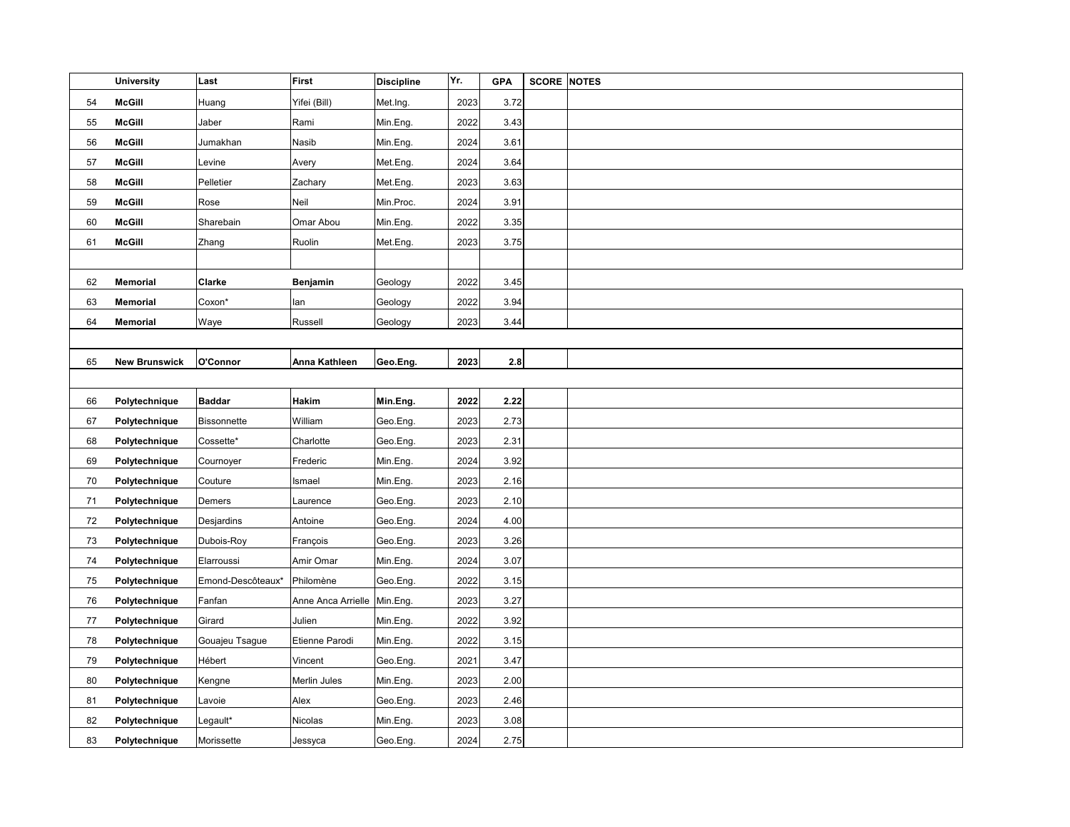|    | <b>University</b>    | Last              | First                       | <b>Discipline</b> | Yr.  | <b>GPA</b> | <b>SCORE</b> | <b>NOTES</b> |
|----|----------------------|-------------------|-----------------------------|-------------------|------|------------|--------------|--------------|
| 54 | <b>McGill</b>        | Huang             | Yifei (Bill)                | Met.Ing.          | 2023 | 3.72       |              |              |
| 55 | <b>McGill</b>        | Jaber             | Rami                        | Min.Eng.          | 2022 | 3.43       |              |              |
| 56 | <b>McGill</b>        | Jumakhan          | Nasib                       | Min.Eng.          | 2024 | 3.61       |              |              |
| 57 | <b>McGill</b>        | Levine            | Avery                       | Met.Eng.          | 2024 | 3.64       |              |              |
| 58 | <b>McGill</b>        | Pelletier         | Zachary                     | Met.Eng.          | 2023 | 3.63       |              |              |
| 59 | <b>McGill</b>        | Rose              | Neil                        | Min.Proc.         | 2024 | 3.91       |              |              |
| 60 | <b>McGill</b>        | Sharebain         | Omar Abou                   | Min.Eng.          | 2022 | 3.35       |              |              |
| 61 | <b>McGill</b>        | Zhang             | Ruolin                      | Met.Eng.          | 2023 | 3.75       |              |              |
|    |                      |                   |                             |                   |      |            |              |              |
| 62 | Memorial             | Clarke            | Benjamin                    | Geology           | 2022 | 3.45       |              |              |
| 63 | Memorial             | Coxon*            | lan                         | Geology           | 2022 | 3.94       |              |              |
| 64 | Memorial             | Waye              | Russell                     | Geology           | 2023 | 3.44       |              |              |
|    |                      |                   |                             |                   |      |            |              |              |
| 65 | <b>New Brunswick</b> | O'Connor          | Anna Kathleen               | Geo.Eng.          | 2023 | 2.8        |              |              |
|    |                      |                   |                             |                   |      |            |              |              |
| 66 | Polytechnique        | <b>Baddar</b>     | Hakim                       | Min.Eng.          | 2022 | 2.22       |              |              |
| 67 | Polytechnique        | Bissonnette       | William                     | Geo.Eng.          | 2023 | 2.73       |              |              |
| 68 | Polytechnique        | Cossette*         | Charlotte                   | Geo.Eng.          | 2023 | 2.31       |              |              |
| 69 | Polytechnique        | Cournoyer         | Frederic                    | Min.Eng.          | 2024 | 3.92       |              |              |
| 70 | Polytechnique        | Couture           | Ismael                      | Min.Eng.          | 2023 | 2.16       |              |              |
| 71 | Polytechnique        | Demers            | Laurence                    | Geo.Eng.          | 2023 | 2.10       |              |              |
| 72 | Polytechnique        | Desjardins        | Antoine                     | Geo.Eng.          | 2024 | 4.00       |              |              |
| 73 | Polytechnique        | Dubois-Roy        | François                    | Geo.Eng.          | 2023 | 3.26       |              |              |
| 74 | Polytechnique        | Elarroussi        | Amir Omar                   | Min.Eng.          | 2024 | 3.07       |              |              |
| 75 | Polytechnique        | Emond-Descôteaux* | Philomène                   | Geo.Eng.          | 2022 | 3.15       |              |              |
| 76 | Polytechnique        | Fanfan            | Anne Anca Arrielle Min.Eng. |                   | 2023 | 3.27       |              |              |
| 77 | Polytechnique        | Girard            | Julien                      | Min.Eng.          | 2022 | 3.92       |              |              |
| 78 | Polytechnique        | Gouajeu Tsague    | Etienne Parodi              | Min.Eng.          | 2022 | 3.15       |              |              |
| 79 | Polytechnique        | Hébert            | Vincent                     | Geo.Eng.          | 2021 | 3.47       |              |              |
| 80 | Polytechnique        | Kengne            | Merlin Jules                | Min.Eng.          | 2023 | 2.00       |              |              |
| 81 | Polytechnique        | Lavoie            | Alex                        | Geo.Eng.          | 2023 | 2.46       |              |              |
| 82 | Polytechnique        | Legault*          | Nicolas                     | Min.Eng.          | 2023 | 3.08       |              |              |
| 83 | Polytechnique        | Morissette        | Jessyca                     | Geo.Eng.          | 2024 | 2.75       |              |              |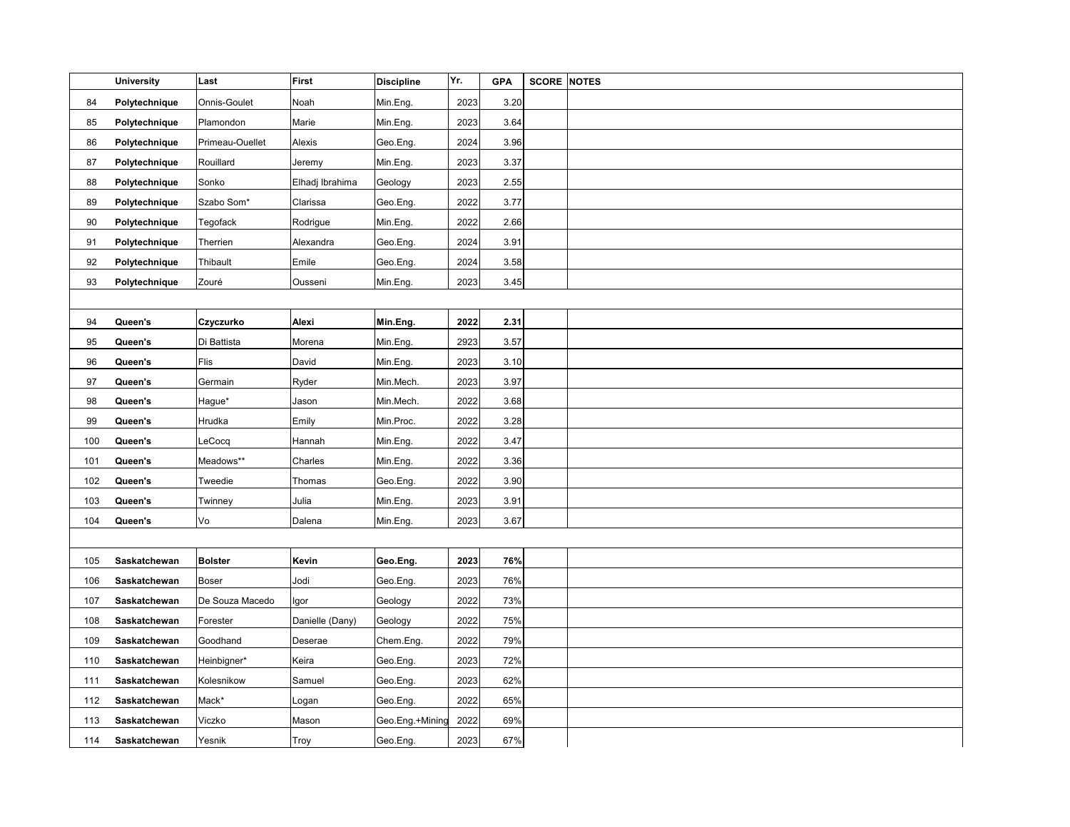|     | <b>University</b> | Last            | First           | <b>Discipline</b> | Yr.  | <b>GPA</b> | <b>SCORE</b> | <b>NOTES</b> |
|-----|-------------------|-----------------|-----------------|-------------------|------|------------|--------------|--------------|
| 84  | Polytechnique     | Onnis-Goulet    | Noah            | Min.Eng.          | 2023 | 3.20       |              |              |
| 85  | Polytechnique     | Plamondon       | Marie           | Min.Eng.          | 2023 | 3.64       |              |              |
| 86  | Polytechnique     | Primeau-Ouellet | Alexis          | Geo.Eng.          | 2024 | 3.96       |              |              |
| 87  | Polytechnique     | Rouillard       | Jeremy          | Min.Eng.          | 2023 | 3.37       |              |              |
| 88  | Polytechnique     | Sonko           | Elhadj Ibrahima | Geology           | 2023 | 2.55       |              |              |
| 89  | Polytechnique     | Szabo Som*      | Clarissa        | Geo.Eng.          | 2022 | 3.77       |              |              |
| 90  | Polytechnique     | Tegofack        | Rodrigue        | Min.Eng.          | 2022 | 2.66       |              |              |
| 91  | Polytechnique     | Therrien        | Alexandra       | Geo.Eng.          | 2024 | 3.91       |              |              |
| 92  | Polytechnique     | Thibault        | Emile           | Geo.Eng.          | 2024 | 3.58       |              |              |
| 93  | Polytechnique     | Zouré           | Ousseni         | Min.Eng.          | 2023 | 3.45       |              |              |
|     |                   |                 |                 |                   |      |            |              |              |
| 94  | Queen's           | Czyczurko       | Alexi           | Min.Eng.          | 2022 | 2.31       |              |              |
| 95  | Queen's           | Di Battista     | Morena          | Min.Eng.          | 2923 | 3.57       |              |              |
| 96  | Queen's           | Flis            | David           | Min.Eng.          | 2023 | 3.10       |              |              |
| 97  | Queen's           | Germain         | Ryder           | Min.Mech.         | 2023 | 3.97       |              |              |
| 98  | Queen's           | Hague*          | Jason           | Min.Mech.         | 2022 | 3.68       |              |              |
| 99  | Queen's           | Hrudka          | Emily           | Min.Proc.         | 2022 | 3.28       |              |              |
| 100 | Queen's           | LeCocq          | Hannah          | Min.Eng.          | 2022 | 3.47       |              |              |
| 101 | Queen's           | Meadows**       | Charles         | Min.Eng.          | 2022 | 3.36       |              |              |
| 102 | Queen's           | Tweedie         | Thomas          | Geo.Eng.          | 2022 | 3.90       |              |              |
| 103 | Queen's           | Twinney         | Julia           | Min.Eng.          | 2023 | 3.91       |              |              |
| 104 | Queen's           | Vo              | Dalena          | Min.Eng.          | 2023 | 3.67       |              |              |
|     |                   |                 |                 |                   |      |            |              |              |
| 105 | Saskatchewan      | Bolster         | Kevin           | Geo.Eng.          | 2023 | 76%        |              |              |
| 106 | Saskatchewan      | Boser           | Jodi            | Geo.Eng.          | 2023 | 76%        |              |              |
| 107 | Saskatchewan      | De Souza Macedo | Igor            | Geology           | 2022 | 73%        |              |              |
| 108 | Saskatchewan      | Forester        | Danielle (Dany) | Geology           | 2022 | 75%        |              |              |
| 109 | Saskatchewan      | Goodhand        | Deserae         | Chem.Eng.         | 2022 | 79%        |              |              |
| 110 | Saskatchewan      | Heinbigner*     | Keira           | Geo.Eng.          | 2023 | 72%        |              |              |
| 111 | Saskatchewan      | Kolesnikow      | Samuel          | Geo.Eng.          | 2023 | 62%        |              |              |
| 112 | Saskatchewan      | Mack*           | Logan           | Geo.Eng.          | 2022 | 65%        |              |              |
| 113 | Saskatchewan      | Viczko          | Mason           | Geo.Eng.+Mining   | 2022 | 69%        |              |              |
| 114 | Saskatchewan      | Yesnik          | Troy            | Geo.Eng.          | 2023 | 67%        |              |              |